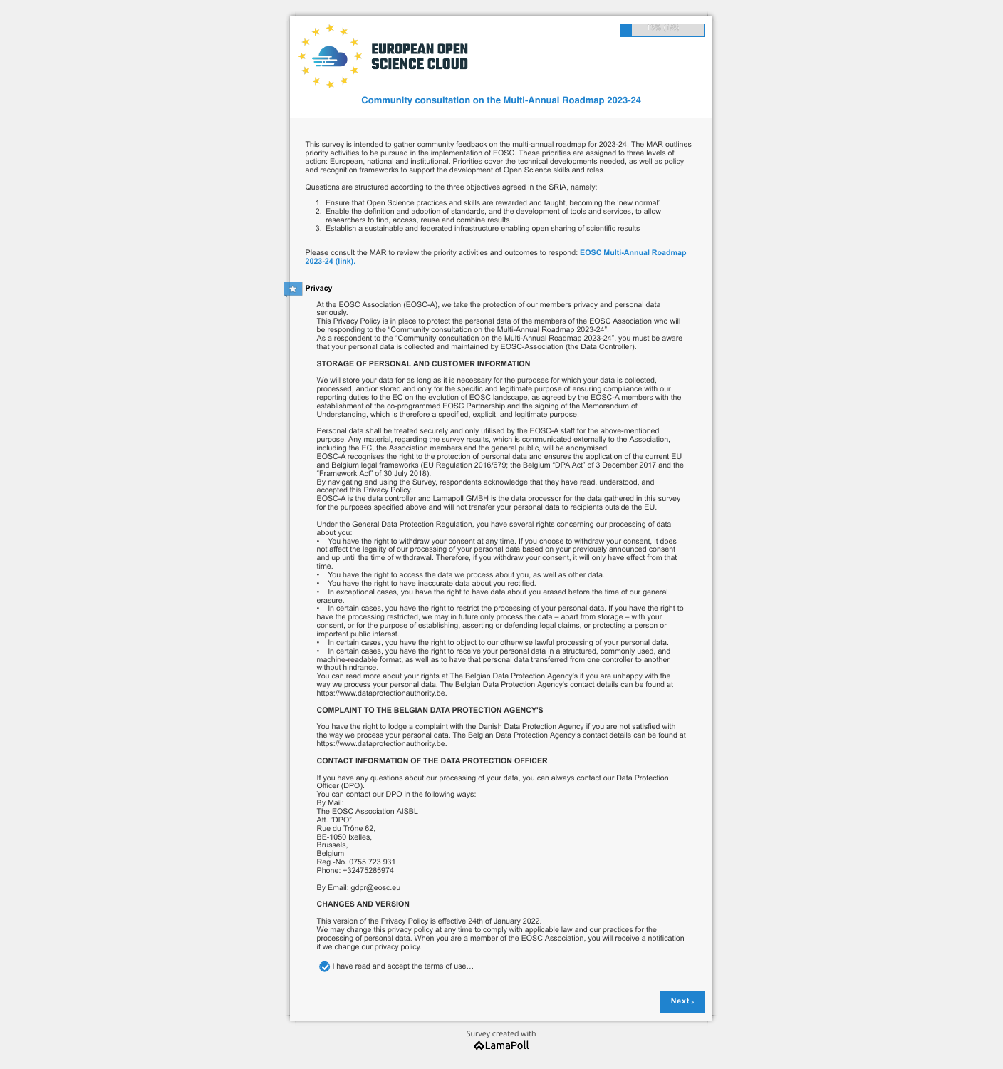This survey is intended to gather community feedback on the multi-annual roadmap for 2023-24. The MAR outlines priority activities to be pursued in the implementation of EOSC. These priorities are assigned to three levels of action: European, national and institutional. Priorities cover the technical developments needed, as well as policy and recognition frameworks to support the development of Open Science skills and roles.

Questions are structured according to the three objectives agreed in the SRIA, namely:

- 1. Ensure that Open Science practices and skills are rewarded and taught, becoming the 'new normal'
- 2. Enable the definition and adoption of standards, and the development of tools and services, to allow researchers to find, access, reuse and combine results
- 3. Establish a sustainable and federated infrastructure enabling open sharing of scientific results

We will store your data for as long as it is necessary for the purposes for which your data is collected, processed, and/or stored and only for the specific and legitimate purpose of ensuring compliance with our reporting duties to the EC on the evolution of EOSC landscape, as agreed by the EOSC-A members with the establishment of the co-programmed EOSC Partnership and the signing of the Memorandum of Understanding, which is therefore a specified, explicit, and legitimate purpose.

[Please consult the MAR to review the priority activities and outcomes to respond:](https://eosc.eu/sites/default/files/2022-02/20220226_EOSC_Multi_Annual_Roadmap_23-24_for_consultation_0.pdf) **EOSC Multi-Annual Roadmap 2023-24 (link).**

At the EOSC Association (EOSC-A), we take the protection of our members privacy and personal data seriously.

This Privacy Policy is in place to protect the personal data of the members of the EOSC Association who will be responding to the "Community consultation on the Multi-Annual Roadmap 2023-24". As a respondent to the "Community consultation on the Multi-Annual Roadmap 2023-24", you must be aware that your personal data is collected and maintained by EOSC-Association (the Data Controller).

### **STORAGE OF PERSONAL AND CUSTOMER INFORMATION**

Personal data shall be treated securely and only utilised by the EOSC-A staff for the above-mentioned purpose. Any material, regarding the survey results, which is communicated externally to the Association, including the EC, the Association members and the general public, will be anonymised. EOSC-A recognises the right to the protection of personal data and ensures the application of the current EU and Belgium legal frameworks (EU Regulation 2016/679; the Belgium "DPA Act" of 3 December 2017 and the "Framework Act" of 30 July 2018).

By navigating and using the Survey, respondents acknowledge that they have read, understood, and accepted this Privacy Policy.

EOSC-A is the data controller and Lamapoll GMBH is the data processor for the data gathered in this survey for the purposes specified above and will not transfer your personal data to recipients outside the EU.

> [Survey created with](https://www.lamapoll.de/)**ALamaPoll**

Under the General Data Protection Regulation, you have several rights concerning our processing of data about you:

• You have the right to withdraw your consent at any time. If you choose to withdraw your consent, it does not affect the legality of our processing of your personal data based on your previously announced consent and up until the time of withdrawal. Therefore, if you withdraw your consent, it will only have effect from that time.

- You have the right to access the data we process about you, as well as other data.
- You have the right to have inaccurate data about you rectified.

• In exceptional cases, you have the right to have data about you erased before the time of our general erasure.

• In certain cases, you have the right to restrict the processing of your personal data. If you have the right to have the processing restricted, we may in future only process the data – apart from storage – with your consent, or for the purpose of establishing, asserting or defending legal claims, or protecting a person or important public interest.

• In certain cases, you have the right to object to our otherwise lawful processing of your personal data.

• In certain cases, you have the right to receive your personal data in a structured, commonly used, and machine-readable format, as well as to have that personal data transferred from one controller to another without hindrance.

You can read more about your rights at The Belgian Data Protection Agency's if you are unhappy with the way we process your personal data. The Belgian Data Protection Agency's contact details can be found at https://www.dataprotectionauthority.be.

## **COMPLAINT TO THE BELGIAN DATA PROTECTION AGENCY'S**

You have the right to lodge a complaint with the Danish Data Protection Agency if you are not satisfied with the way we process your personal data. The Belgian Data Protection Agency's contact details can be found at https://www.dataprotectionauthority.be.

### **CONTACT INFORMATION OF THE DATA PROTECTION OFFICER**

If you have any questions about our processing of your data, you can always contact our Data Protection Officer (DPO). You can contact our DPO in the following ways: By Mail: The EOSC Association AISBL Att. "DPO" Rue du Trône 62, BE-1050 Ixelles, Brussels, Belgium Reg.-No. 0755 723 931 Phone: +32475285974

By Email: gdpr@eosc.eu

### **CHANGES AND VERSION**

This version of the Privacy Policy is effective 24th of January 2022. We may change this privacy policy at any time to comply with applicable law and our practices for the processing of personal data. When you are a member of the EOSC Association, you will receive a notification if we change our privacy policy.

**I** have read and accept the terms of use...

**Next** »



**Community consultation on the Multi-Annual Roadmap 2023-24**

13% (1/8)

### # **Privacy**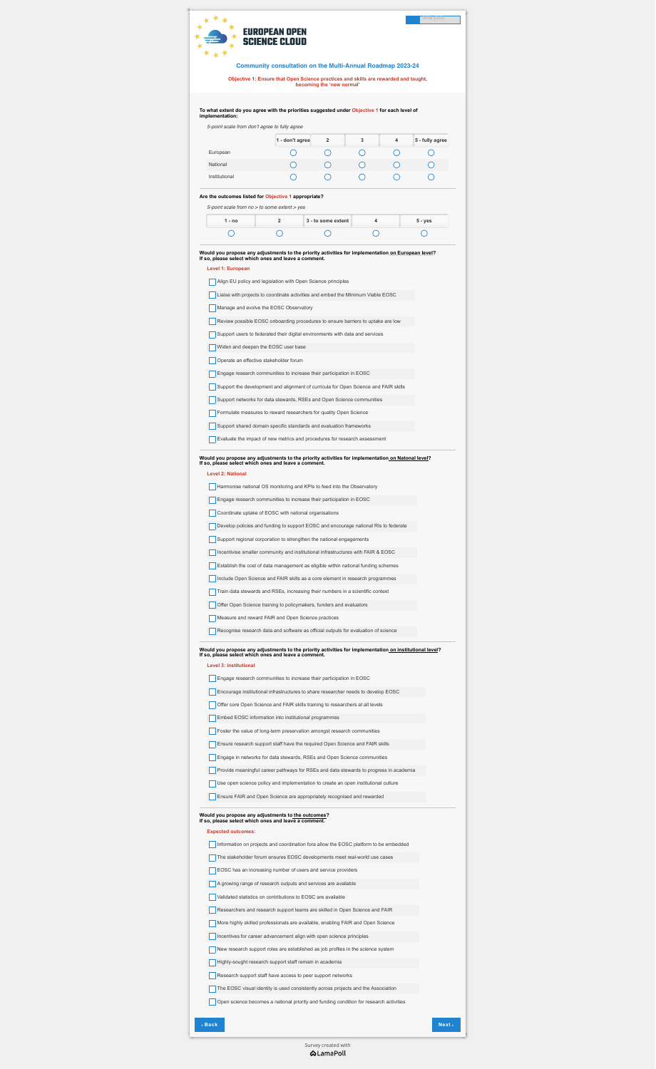**Level 3: institutional**

**Engage research communities to increase their participation in EOSC** 

**Expected outcomes:**

Information on projects and coordination fora allow the EOSC platform to be embedded

The stakeholder forum ensures EOSC developments meet real-world use cases

EOSC has an increasing number of users and service providers

A growing range of research outputs and services are available

|                                                                  | <b>Community consultation on the Multi-Annual Roadmap 2023-24</b>                                                                                          |                           |   |   |                 |
|------------------------------------------------------------------|------------------------------------------------------------------------------------------------------------------------------------------------------------|---------------------------|---|---|-----------------|
|                                                                  | Objective 1: Ensure that Open Science practices and skills are rewarded and taught,                                                                        |                           |   |   |                 |
|                                                                  |                                                                                                                                                            | becoming the 'new normal' |   |   |                 |
|                                                                  | To what extent do you agree with the priorities suggested under Objective 1 for each level of                                                              |                           |   |   |                 |
| implementation:<br>5-point scale from don't agree to fully agree |                                                                                                                                                            |                           |   |   |                 |
|                                                                  | 1 - don't agree                                                                                                                                            | $\mathbf{2}$              | 3 | 4 | 5 - fully agree |
| European                                                         |                                                                                                                                                            |                           |   |   |                 |
| National                                                         |                                                                                                                                                            |                           |   |   |                 |
| Institutional                                                    |                                                                                                                                                            |                           |   |   |                 |
| $1 - no$                                                         | $\overline{2}$                                                                                                                                             | 3 - to some extent        | 4 |   | $5 - yes$       |
|                                                                  |                                                                                                                                                            |                           |   |   |                 |
|                                                                  | Would you propose any adjustments to the priority activities for implementation on European level?<br>If so, please select which ones and leave a comment. |                           |   |   |                 |
| Level 1: European                                                |                                                                                                                                                            |                           |   |   |                 |
|                                                                  | Align EU policy and legislation with Open Science principles                                                                                               |                           |   |   |                 |
|                                                                  | Liaise with projects to coordinate activities and embed the Minimum Viable EOSC                                                                            |                           |   |   |                 |
|                                                                  | Manage and evolve the EOSC Observatory                                                                                                                     |                           |   |   |                 |
|                                                                  | Review possible EOSC onboarding procedures to ensure barriers to uptake are low                                                                            |                           |   |   |                 |
|                                                                  | Support users to federated their digital environments with data and services                                                                               |                           |   |   |                 |
|                                                                  | Widen and deepen the EOSC user base                                                                                                                        |                           |   |   |                 |
|                                                                  | Operate an effective stakeholder forum                                                                                                                     |                           |   |   |                 |
|                                                                  | Engage research communities to increase their participation in EOSC                                                                                        |                           |   |   |                 |
|                                                                  | Support the development and alignment of curricula for Open Science and FAIR skills                                                                        |                           |   |   |                 |
|                                                                  | Support networks for data stewards, RSEs and Open Science communities                                                                                      |                           |   |   |                 |
|                                                                  | Formulate measures to reward researchers for quality Open Science                                                                                          |                           |   |   |                 |
|                                                                  | Support shared domain specific standards and evaluation frameworks                                                                                         |                           |   |   |                 |

Engage research communities to increase their participation in EOSC

Coordinate uptake of EOSC with national organisations

Develop policies and funding to support EOSC and encourage national RIs to federate

Support regional corporation to strengthen the national engagements

Incentivise smaller community and institutional infrastructures with FAIR & EOSC

**Establish the cost of data management as eligible within national funding schemes** 

Include Open Science and FAIR skills as a core element in research programmes

Train data stewards and RSEs, increasing their numbers in a scientific context

Offer Open Science training to policymakers, funders and evaluators

Measure and reward FAIR and Open Science practices

Recognise research data and software as official outputs for evaluation of science

**Would you propose any adjustments to the priority activities for implementation on institutional level? If so, please select which ones and leave a comment.**

Encourage institutional infrastructures to share researcher needs to develop EOSC

**Offer core Open Science and FAIR skills training to researchers at all levels** 

Embed EOSC information into institutional programmes

**Foster the value of long-term preservation amongst research communities** 

**Ensure research support staff have the required Open Science and FAIR skills** 

**Engage in networks for data stewards, RSEs and Open Science communities** 

**Provide meaningful career pathways for RSEs and data stewards to progress in academia** 

Use open science policy and implementation to create an open institutional culture

**Ensure FAIR and Open Science are appropriately recognised and rewarded** 

**Would you propose any adjustments to the outcomes? If so, please select which ones and leave a comment.**

Validated statistics on contributions to EOSC are available

Researchers and research support teams are skilled in Open Science and FAIR

More highly skilled professionals are available, enabling FAIR and Open Science

Incentives for career advancement align with open science principles

New research support roles are established as job profiles in the science system

**Highly-sought research support staff remain in academia** 

Research support staff have access to peer support networks

The EOSC visual identity is used consistently across projects and the Association



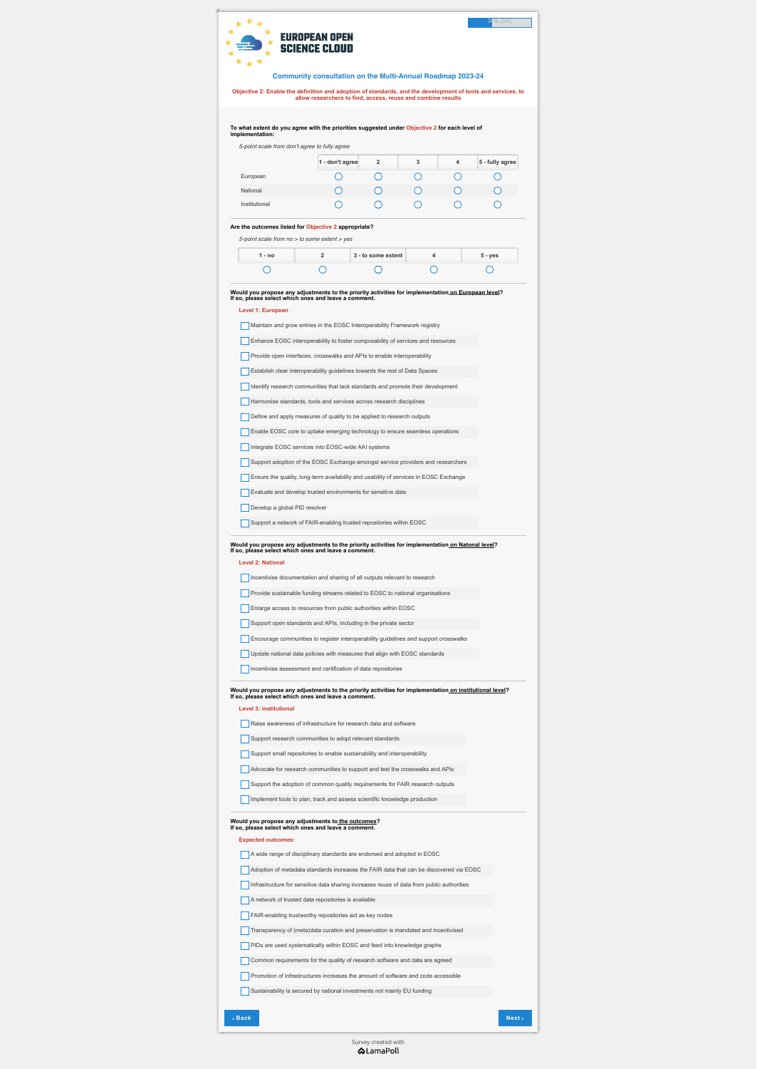*5-point scale from don't agree to fully agree* 

|               | 1 - don't agree | $\mathbf{2}$ | 3 | 4 | 5 - fully agree |
|---------------|-----------------|--------------|---|---|-----------------|
| European      |                 |              |   |   |                 |
| National      |                 |              |   |   |                 |
| Institutional |                 |              |   |   |                 |

*5-point scale from no > to some extent > yes*

| 1 - no | 3 - to some extent | $5 - yes$ |
|--------|--------------------|-----------|
|        |                    |           |

## **Level 1: European**

Maintain and grow entries in the EOSC Interoperability Framework registry

**Enhance EOSC interoperability to foster composability of services and resources** 

**Provide open interfaces, crosswalks and APIs to enable interoperability** 

**Establish clear interoperability guidelines towards the rest of Data Spaces** 

Identify research communities that lack standards and promote their development

Harmonise standards, tools and services across research disciplines

Define and apply measures of quality to be applied to research outputs

**Enable EOSC core to uptake emerging technology to ensure seamless operations** 

Integrate EOSC services into EOSC-wide AAI systems

**Level 2: National**

**Level 3: institutional**

Raise awareness of infrastructure for research data and software

Support research communities to adopt relevant standards

Support small repositories to enable sustainability and interoperability

**Expected outcomes:**

**Community consultation on the Multi-Annual Roadmap 2023-24**

**Objective 2: Enable the definition and adoption of standards, and the development of tools and services, to allow researchers to find, access, reuse and combine results**





**To what extent do you agree with the priorities suggested under Objective 2 for each level of implementation:**

### **Are the outcomes listed for Objective 2 appropriate?**

**Would you propose any adjustments to the priority activities for implementation on European level? If so, please select which ones and leave a comment.**

Support adoption of the EOSC Exchange amongst service providers and researchers

**Ensure the quality, long-term availability and usability of services in EOSC Exchange** 

**Evaluate and develop trusted environments for sensitive data** 

Develop a global PID resolver

Support a network of FAIR-enabling trusted repositories within EOSC

**Would you propose any adjustments to the priority activities for implementation on Natonal level? If so, please select which ones and leave a comment.**

# [Survey created with](https://www.lamapoll.de/)**ALamaPoll**

|  | Incentivise documentation and sharing of all outputs relevant to research |
|--|---------------------------------------------------------------------------|
|  |                                                                           |

**Provide sustainable funding streams related to EOSC to national organisations** 

**Enlarge access to resources from public authorities within EOSC** 

Support open standards and APIs, including in the private sector

**Encourage communities to register interoperability guidelines and support crosswalks** 

**Update national data policies with measures that align with EOSC standards** 

Incentivise assessment and certification of data repositories

**Would you propose any adjustments to the priority activities for implementation on institutional level? If so, please select which ones and leave a comment.**

Advocate for research communities to support and test the crosswalks and APIs

Support the adoption of common quality requirements for FAIR research outputs

I Implement tools to plan, track and assess scientific knowledge production

**Would you propose any adjustments to the outcomes? If so, please select which ones and leave a comment.**

A wide range of disciplinary standards are endorsed and adopted in EOSC

Adoption of metadata standards increases the FAIR data that can be discovered via EOSC

Infrastructure for sensitive data sharing increases reuse of data from public authorities

A network of trusted data repositories is available

**FAIR-enabling trustworthy repositories act as key nodes** 

Transparency of (meta)data curation and preservation is mandated and incentivised

**PIDs are used systematically within EOSC and feed into knowledge graphs** 

**Common requirements for the quality of research software and data are agreed** 

**Promotion of infrastructures increases the amount of software and code accessible** 

Sustainability is secured by national investments not mainly EU funding

## !! **Back Next** ""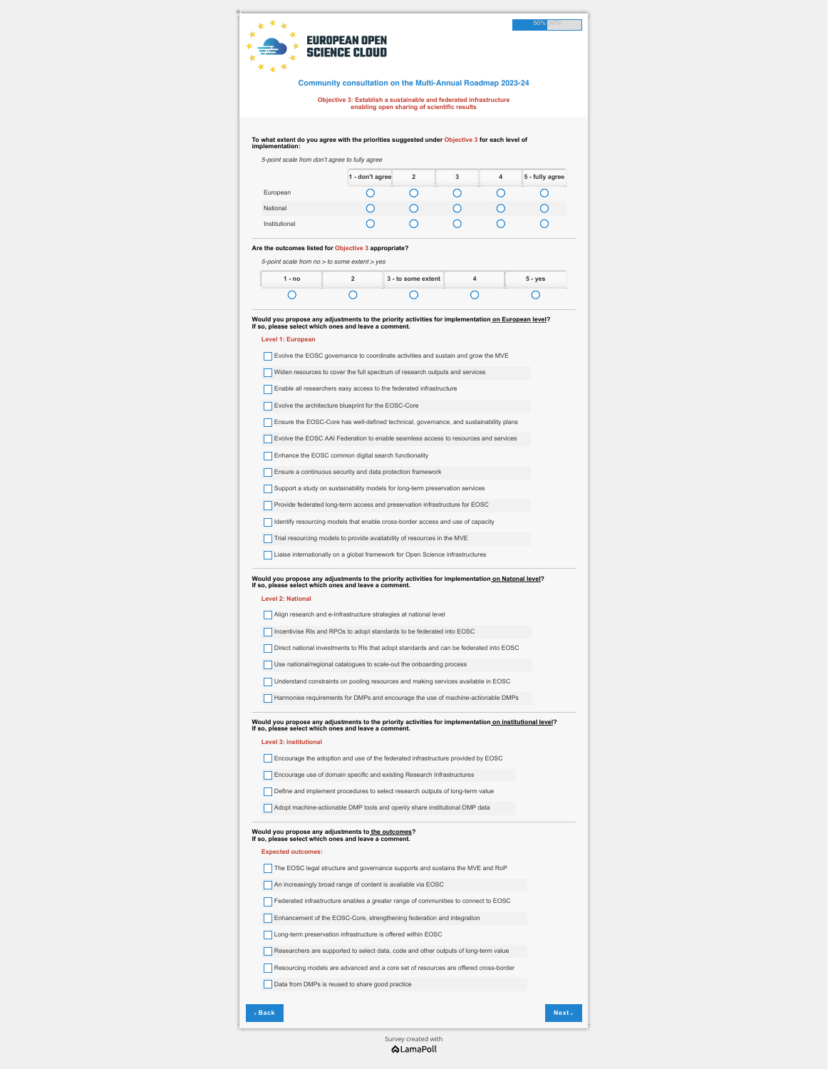*5-point scale from don't agree to fully agree* 

|               | 1 - don't agree | $\overline{2}$ | 3 | 4 | 5 - fully agree |
|---------------|-----------------|----------------|---|---|-----------------|
| European      |                 |                |   |   |                 |
| National      |                 |                |   |   |                 |
| Institutional |                 |                |   |   |                 |

*5-point scale from no > to some extent > yes*

| 1 - no | 3 - to some extent | 5 - yes |
|--------|--------------------|---------|
|        |                    |         |

# **Level 1: European**

**Evolve the EOSC governance to coordinate activities and sustain and grow the MVE** 

Widen resources to cover the full spectrum of research outputs and services

**Enable all researchers easy access to the federated infrastructure** 

**Evolve the architecture blueprint for the EOSC-Core** 

**Ensure the EOSC-Core has well-defined technical, governance, and sustainability plans** 

**Evolve the EOSC AAI Federation to enable seamless access to resources and services** 

**Enhance the EOSC common digital search functionality** 

**Ensure a continuous security and data protection framework** 

Support a study on sustainability models for long-term preservation services

**Provide federated long-term access and preservation infrastructure for EOSC** 

Identify resourcing models that enable cross-border access and use of capacity

Trial resourcing models to provide availability of resources in the MVE

**Liaise internationally on a global framework for Open Science infrastructures** 

**Level 2: National**

Align research and e-Infrastructure strategies at national level

Incentivise RIs and RPOs to adopt standards to be federated into EOSC

Direct national investments to RIs that adopt standards and can be federated into EOSC

Use national/regional catalogues to scale-out the onboarding process

### **Level 3: institutional**

**Encourage the adoption and use of the federated infrastructure provided by EOSC** 

**Encourage use of domain specific and existing Research Infrastructures** 

Define and implement procedures to select research outputs of long-term value

Adopt machine-actionable DMP tools and openly share institutional DMP data

### **Expected outcomes:**

The EOSC legal structure and governance supports and sustains the MVE and RoP

An increasingly broad range of content is available via EOSC

Federated infrastructure enables a greater range of communities to connect to EOSC

**Enhancement of the EOSC-Core, strengthening federation and integration** 

**Long-term preservation infrastructure is offered within EOSC** 

Researchers are supported to select data, code and other outputs of long-term value

Resourcing models are advanced and a core set of resources are offered cross-border

Data from DMPs is reused to share good practice

**Community consultation on the Multi-Annual Roadmap 2023-24**

**Objective 3: Establish a sustainable and federated infrastructure enabling open sharing of scientific results**





**To what extent do you agree with the priorities suggested under Objective 3 for each level of implementation:**

## **Are the outcomes listed for Objective 3 appropriate?**

**Would you propose any adjustments to the priority activities for implementation on European level? If so, please select which ones and leave a comment.**

> [Survey created with](https://www.lamapoll.de/)**ALamaPoll**

**Would you propose any adjustments to the priority activities for implementation on Natonal level? If so, please select which ones and leave a comment.**

Understand constraints on pooling resources and making services available in EOSC

Harmonise requirements for DMPs and encourage the use of machine-actionable DMPs

**Would you propose any adjustments to the priority activities for implementation on institutional level? If so, please select which ones and leave a comment.**

#### **Would you propose any adjustments to the outcomes? If so, please select which ones and leave a comment.**

## !! **Back Next** ""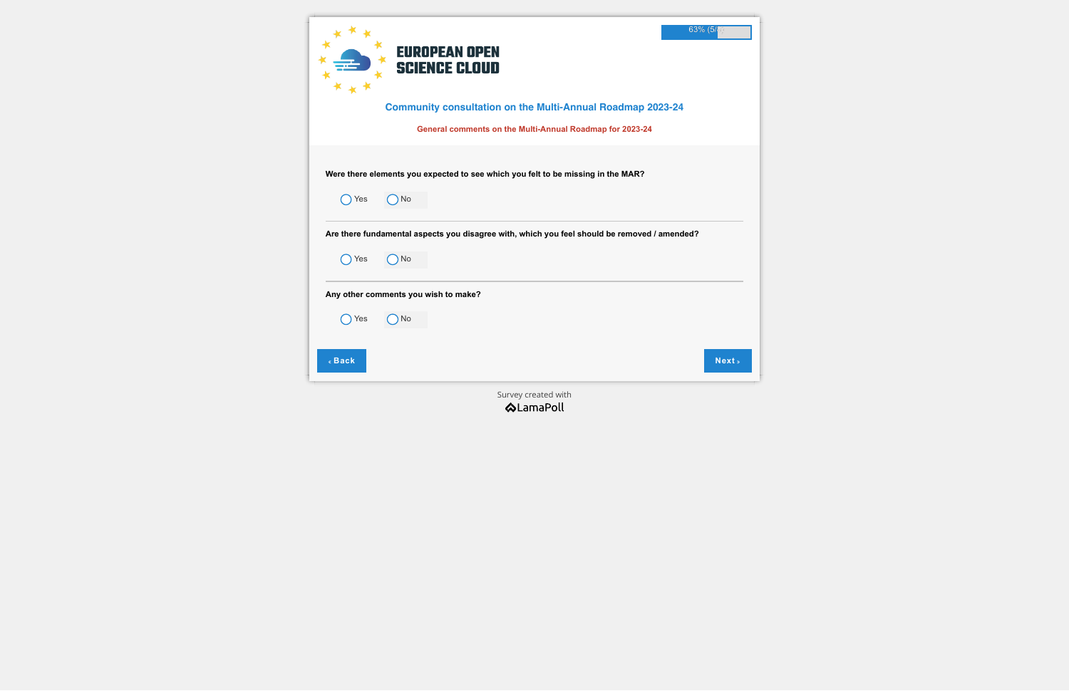|        | 63% (5/<br><b>EUROPEAN OPEN</b><br><b>SCIENCE CLOUD</b><br><b>Community consultation on the Multi-Annual Roadmap 2023-24</b><br>General comments on the Multi-Annual Roadmap for 2023-24 |  |
|--------|------------------------------------------------------------------------------------------------------------------------------------------------------------------------------------------|--|
|        |                                                                                                                                                                                          |  |
|        | Were there elements you expected to see which you felt to be missing in the MAR?                                                                                                         |  |
| Yes    | No                                                                                                                                                                                       |  |
|        | Are there fundamental aspects you disagree with, which you feel should be removed / amended?                                                                                             |  |
| Yes    | $)$ No                                                                                                                                                                                   |  |
|        | Any other comments you wish to make?                                                                                                                                                     |  |
| Yes    | ) No                                                                                                                                                                                     |  |
|        |                                                                                                                                                                                          |  |
| « Back | Next »                                                                                                                                                                                   |  |
|        | Survey created with                                                                                                                                                                      |  |
|        | <b>ALamaPoll</b>                                                                                                                                                                         |  |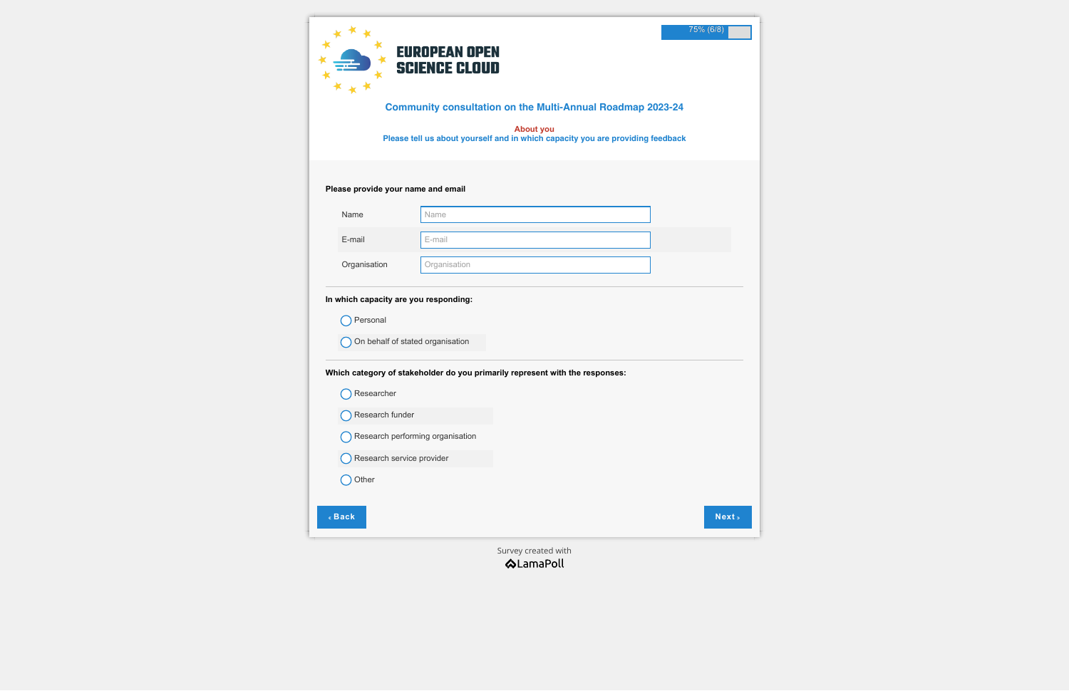|                                       | 75% (6/8)<br><b>EUROPEAN OPEN</b><br><b>SCIENCE CLOUD</b><br><b>Community consultation on the Multi-Annual Roadmap 2023-24</b><br><b>About you</b><br>Please tell us about yourself and in which capacity you are providing feedback |
|---------------------------------------|--------------------------------------------------------------------------------------------------------------------------------------------------------------------------------------------------------------------------------------|
| Please provide your name and email    |                                                                                                                                                                                                                                      |
| Name                                  | Name                                                                                                                                                                                                                                 |
| E-mail                                | E-mail                                                                                                                                                                                                                               |
| Organisation                          | Organisation                                                                                                                                                                                                                         |
| In which capacity are you responding: |                                                                                                                                                                                                                                      |
| Personal                              |                                                                                                                                                                                                                                      |
|                                       | On behalf of stated organisation                                                                                                                                                                                                     |
|                                       | Which category of stakeholder do you primarily represent with the responses:                                                                                                                                                         |
| Researcher                            |                                                                                                                                                                                                                                      |
| Research funder                       |                                                                                                                                                                                                                                      |
|                                       | Research performing organisation                                                                                                                                                                                                     |
| Research service provider             |                                                                                                                                                                                                                                      |
| Other                                 |                                                                                                                                                                                                                                      |
| « Back                                | Next »                                                                                                                                                                                                                               |

[Survey created with](https://www.lamapoll.de/)<br>  $\bigotimes$  LamaPoll